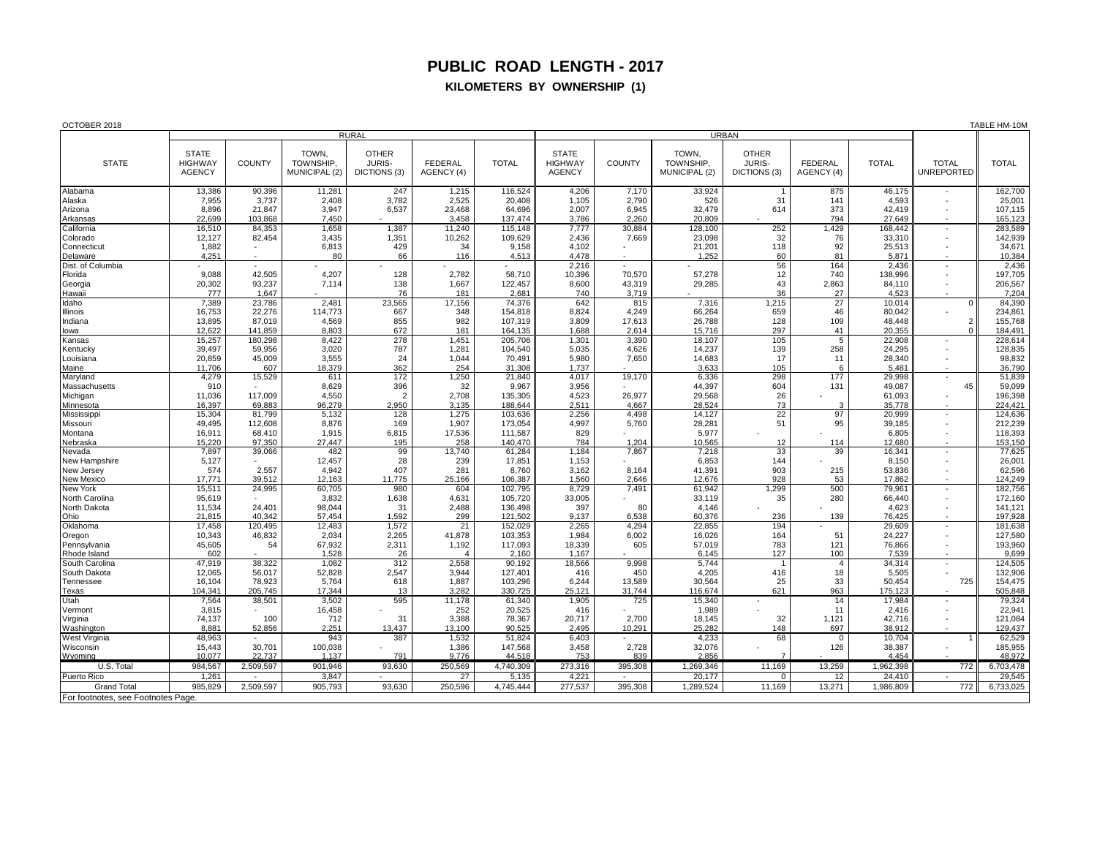## **PUBLIC ROAD LENGTH - 2017**

## **KILOMETERS BY OWNERSHIP (1)**

| OCTOBER 2018                       |                                                 |                   |                                     |                                               |                              |                    |                                                 |                  |                                     |                                        |                              |                   | TABLE HM-10N                      |                    |
|------------------------------------|-------------------------------------------------|-------------------|-------------------------------------|-----------------------------------------------|------------------------------|--------------------|-------------------------------------------------|------------------|-------------------------------------|----------------------------------------|------------------------------|-------------------|-----------------------------------|--------------------|
|                                    | <b>RURAL</b>                                    |                   |                                     |                                               |                              |                    | <b>URBAN</b>                                    |                  |                                     |                                        |                              |                   |                                   |                    |
| <b>STATE</b>                       | <b>STATE</b><br><b>HIGHWAY</b><br><b>AGENCY</b> | <b>COUNTY</b>     | TOWN,<br>TOWNSHIP,<br>MUNICIPAL (2) | <b>OTHER</b><br><b>JURIS-</b><br>DICTIONS (3) | <b>FEDERAL</b><br>AGENCY (4) | <b>TOTAL</b>       | <b>STATE</b><br><b>HIGHWAY</b><br><b>AGENCY</b> | <b>COUNTY</b>    | TOWN,<br>TOWNSHIP.<br>MUNICIPAL (2) | <b>OTHER</b><br>JURIS-<br>DICTIONS (3) | <b>FEDERAL</b><br>AGENCY (4) | <b>TOTAL</b>      | <b>TOTAL</b><br><b>UNREPORTED</b> | <b>TOTAL</b>       |
| Alabama                            | 13,386                                          | 90,396            | 11,281                              | 247                                           | 1,215                        | 116,524            | 4,206                                           | 7,170            | 33,924                              | $\overline{1}$                         | 875                          | 46,175            |                                   | 162,700            |
| Alaska                             | 7,955                                           | 3,737             | 2,408                               | 3,782                                         | 2,525                        | 20,408             | 1,105                                           | 2,790            | 526                                 | 31                                     | 141                          | 4,593             |                                   | 25,001             |
| Arizona                            | 8,896                                           | 21,847            | 3,947                               | 6,537                                         | 23,468                       | 64,696             | 2,007                                           | 6,945            | 32,479                              | 614                                    | 373                          | 42,419            |                                   | 107,115            |
| Arkansas                           | 22,699                                          | 103,868           | 7,450                               |                                               | 3,458                        | 137,474            | 3,786                                           | 2,260            | 20,809                              |                                        | 794                          | 27,649            |                                   | 165,123            |
| California                         | 16,510                                          | 84,353            | 1,658                               | 1,387                                         | 11,240                       | 115,148            | 7,777                                           | 30,884           | 128,100                             | 252                                    | 1,429                        | 168,442           | $\overline{\phantom{a}}$          | 283,589            |
| Colorado                           | 12,127                                          | 82,454            | 3,435                               | 1,351                                         | 10,262                       | 109,629            | 2,436                                           | 7,669            | 23,098                              | 32                                     | 76                           | 33,310            |                                   | 142,939            |
| Connecticut                        | 1,882                                           |                   | 6,813                               | 429                                           | 34                           | 9,158              | 4,102                                           |                  | 21,201                              | 118                                    | 92                           | 25,513            |                                   | 34,671             |
| Delaware                           | 4.251                                           |                   | 80                                  | 66                                            | 116                          | 4,513              | 4,478                                           |                  | 1,252                               | 60                                     | 81                           | 5,871             |                                   | 10,384             |
| Dist. of Columbia                  | 9.088                                           | 42.505            |                                     |                                               |                              | 58.710             | 2,216                                           | ÷.               | 57.278                              | 56<br>12                               | 164<br>740                   | 2,436             |                                   | 2,436              |
| Florida                            | 20,302                                          | 93,237            | 4,207<br>7,114                      | 128<br>138                                    | 2,782<br>1,667               | 122,457            | 10,396<br>8,600                                 | 70.570<br>43,319 | 29,285                              | 43                                     | 2,863                        | 138,996<br>84,110 |                                   | 197,705<br>206,567 |
| Georgia<br>Hawaii                  | 777                                             | 1,647             |                                     | 76                                            | 181                          | 2,681              | 740                                             | 3,719            |                                     | 36                                     | 27                           | 4,523             |                                   | 7,204              |
| Idaho                              | 7,389                                           | 23,786            | 2,481                               | 23,565                                        | 17,156                       | 74,376             | 642                                             | 815              | 7,316                               | 1,215                                  | 27                           | 10.014            | $\mathbf 0$                       | 84,390             |
| Illinois                           | 16,753                                          | 22,276            | 114,773                             | 667                                           | 348                          | 154,818            | 8,824                                           | 4,249            | 66,264                              | 659                                    | 46                           | 80,042            |                                   | 234,861            |
| Indiana                            | 13,895                                          | 87.019            | 4,569                               | 855                                           | 982                          | 107,319            | 3,809                                           | 17,613           | 26,788                              | 128                                    | 109                          | 48.448            | $\overline{2}$                    | 155,768            |
| lowa                               | 12,622                                          | 141,859           | 8,803                               | 672                                           | 181                          | 164,135            | 1,688                                           | 2,614            | 15,716                              | 297                                    | 41                           | 20,355            | $\mathbf 0$                       | 184,491            |
| Kansas                             | 15,257                                          | 180,298           | 8,422                               | 278                                           | 1,451                        | 205,706            | 1,301                                           | 3,390            | 18,107                              | 105                                    | 5                            | 22,908            |                                   | 228,614            |
| Kentucky                           | 39,497                                          | 59.956            | 3,020                               | 787                                           | 1,281                        | 104,540            | 5,035                                           | 4,626            | 14,237                              | 139                                    | 258                          | 24,295            |                                   | 128,835            |
| Louisiana                          | 20,859                                          | 45,009            | 3,555                               | 24                                            | 1.044                        | 70,491             | 5,980                                           | 7,650            | 14,683                              | 17                                     | 11                           | 28,340            |                                   | 98,832             |
| Maine                              | 11,706                                          | 607               | 18,379                              | 362                                           | 254                          | 31,308             | 1.737                                           |                  | 3,633                               | 105                                    | 6                            | 5,481             |                                   | 36,790             |
| Maryland                           | 4,279                                           | 15,529            | 611                                 | 172                                           | 1,250                        | 21,840             | 4,017                                           | 19,170           | 6,336                               | 298                                    | 177                          | 29,998            |                                   | 51,839             |
| Massachusetts                      | 910                                             |                   | 8,629                               | 396                                           | 32                           | 9,967              | 3,956                                           |                  | 44,397                              | 604                                    | 131                          | 49,087            | 45                                | 59,099             |
| Michigan                           | 11,036                                          | 117,009           | 4,550                               | $\overline{2}$                                | 2,708                        | 135,305            | 4,523                                           | 26,977           | 29,568                              | 26                                     |                              | 61,093            |                                   | 196,398            |
| Minnesota                          | 16,397                                          | 69,883            | 96,279                              | 2,950                                         | 3.135                        | 188,644            | 2,511                                           | 4,667            | 28,524                              | 73                                     | З<br>97                      | 35.778            |                                   | 224,421            |
| Mississipp                         | 15,304<br>49,495                                | 81.799<br>112,608 | 5,132<br>8,876                      | 128<br>169                                    | 1,275<br>1,907               | 103,636<br>173,054 | 2,256<br>4,997                                  | 4,498<br>5,760   | 14,127<br>28,281                    | 22<br>51                               | 95                           | 20.999<br>39,185  |                                   | 124,636<br>212,239 |
| Missouri<br>Montana                | 16,911                                          | 68,410            | 1,915                               | 6,815                                         | 17,536                       | 111,587            | 829                                             |                  | 5,977                               |                                        |                              | 6,805             |                                   | 118,393            |
| Nebraska                           | 15,220                                          | 97,350            | 27,447                              | 195                                           | 258                          | 140,470            | 784                                             | 1,204            | 10,565                              | 12                                     | 114                          | 12,680            |                                   | 153,150            |
| Nevada                             | 7,897                                           | 39,066            | 482                                 | 99                                            | 13,740                       | 61,284             | 1.184                                           | 7,867            | 7,218                               | 33                                     | 39                           | 16,341            |                                   | 77,625             |
| New Hampshire                      | 5,127                                           |                   | 12,457                              | 28                                            | 239                          | 17,851             | 1,153                                           |                  | 6,853                               | 144                                    |                              | 8,150             |                                   | 26,001             |
| New Jersey                         | 574                                             | 2,557             | 4,942                               | 407                                           | 281                          | 8,760              | 3,162                                           | 8,164            | 41,391                              | 903                                    | 215                          | 53,836            |                                   | 62,596             |
| <b>New Mexico</b>                  | 17,771                                          | 39,512            | 12,163                              | 11,775                                        | 25,166                       | 106,387            | 1,560                                           | 2,646            | 12,676                              | 928                                    | 53                           | 17,862            |                                   | 124,249            |
| New York                           | 15,511                                          | 24,995            | 60.705                              | 980                                           | 604                          | 102,795            | 8,729                                           | 7,491            | 61,942                              | 1,299                                  | 500                          | 79,961            |                                   | 182,756            |
| North Carolina                     | 95,619                                          |                   | 3,832                               | 1,638                                         | 4,631                        | 105,720            | 33,005                                          |                  | 33,119                              | 35                                     | 280                          | 66,440            |                                   | 172,160            |
| North Dakota                       | 11,534<br>21.815                                | 24,401<br>40.342  | 98,044<br>57.454                    | 31                                            | 2,488                        | 136,498<br>121.502 | 397<br>9.137                                    | 80               | 4,146<br>60.376                     |                                        | 139                          | 4,623             |                                   | 141,121            |
| Ohio<br>Oklahoma                   | 17,458                                          | 120,495           | 12,483                              | 1.592<br>1,572                                | 299<br>21                    | 152,029            | 2,265                                           | 6.538<br>4,294   | 22,855                              | 236<br>194                             |                              | 76.425<br>29,609  |                                   | 197,928<br>181,638 |
| Oregon                             | 10,343                                          | 46,832            | 2,034                               | 2,265                                         | 41,878                       | 103,353            | 1,984                                           | 6,002            | 16,026                              | 164                                    | 51                           | 24,227            |                                   | 127,580            |
| Pennsylvania                       | 45,605                                          | 54                | 67,932                              | 2,311                                         | 1,192                        | 117,093            | 18,339                                          | 605              | 57,019                              | 783                                    | 121                          | 76,866            |                                   | 193,960            |
| Rhode Island                       | 602                                             |                   | 1.528                               | 26                                            | $\overline{4}$               | 2.160              | 1.167                                           |                  | 6.145                               | 127                                    | 100                          | 7.539             |                                   | 9,699              |
| South Carolina                     | 47,919                                          | 38,322            | 1,082                               | 312                                           | 2,558                        | 90,192             | 18,566                                          | 9,998            | 5,744                               | $\overline{1}$                         | $\overline{4}$               | 34,314            |                                   | 124,505            |
| South Dakota                       | 12,065                                          | 56,017            | 52,828                              | 2,547                                         | 3,944                        | 127,401            | 416                                             | 450              | 4,205                               | 416                                    | 18                           | 5,505             |                                   | 132,906            |
| Tennessee                          | 16,104                                          | 78,923            | 5,764                               | 618                                           | 1,887                        | 103,296            | 6,244                                           | 13,589           | 30,564                              | 25                                     | 33                           | 50,454            | 725                               | 154,475            |
| Texas                              | 104.341                                         | 205,745           | 17,344                              | 13                                            | 3.282                        | 330.725            | 25.121                                          | 31,744           | 116.674                             | 621                                    | 963                          | 175.123           |                                   | 505,848            |
| Utah                               | 7,564                                           | 38,501            | 3,502                               | 595                                           | 11,178                       | 61,340             | 1,905                                           | 725              | 15,340                              |                                        | 14                           | 17,984            | $\sim$                            | 79,324             |
| Vermont                            | 3,815                                           |                   | 16,458                              |                                               | 252                          | 20,525             | 416                                             |                  | 1,989                               |                                        | 11                           | 2,416             |                                   | 22,941             |
| Virginia                           | 74,137                                          | 100               | 712                                 | 31                                            | 3,388                        | 78,367             | 20,717                                          | 2,700            | 18,145                              | 32                                     | 1,121                        | 42,716            |                                   | 121,084<br>129,437 |
| Washington<br>West Virginia        | 8,881<br>48,963                                 | 52.856            | 2,251<br>943                        | 13.437<br>387                                 | 13.100<br>1,532              | 90.525<br>51,824   | 2.495<br>6,403                                  | 10.291           | 25,282<br>4,233                     | 148<br>68                              | 697<br>$\Omega$              | 38.912<br>10.704  |                                   | 62,529             |
| Wisconsin                          | 15,443                                          | 30,701            | 100,038                             |                                               | 1,386                        | 147,568            | 3,458                                           | 2,728            | 32,076                              |                                        | 126                          | 38,387            |                                   | 185,955            |
| Wvomina                            | 10.077                                          | 22.737            | 1.137                               | 791                                           | 9.776                        | 44.518             | 753                                             | 839              | 2.856                               | 7                                      |                              | 4.454             |                                   | 48.972             |
| U.S. Total                         | 984,567                                         | 2,509,597         | 901,946                             | 93,630                                        | 250,569                      | 4,740,309          | 273,316                                         | 395,308          | 1,269,346                           | 11,169                                 | 13,259                       | 1,962,398         | 772                               | 6,703,478          |
| Puerto Rico                        | 1,261                                           |                   | 3,847                               |                                               | 27                           | 5,135              | 4,221                                           |                  | 20,177                              | $\mathbf{0}$                           | 12                           | 24,410            |                                   | 29,545             |
| <b>Grand Total</b>                 | 985.829                                         | 2.509.597         | 905,793                             | 93.630                                        | 250,596                      | 4.745.444          | 277,537                                         | 395,308          | 1,289,524                           | 11.169                                 | 13.271                       | 1,986,809         | 772                               | 6,733,025          |
| For footnotes, see Footnotes Page. |                                                 |                   |                                     |                                               |                              |                    |                                                 |                  |                                     |                                        |                              |                   |                                   |                    |
|                                    |                                                 |                   |                                     |                                               |                              |                    |                                                 |                  |                                     |                                        |                              |                   |                                   |                    |